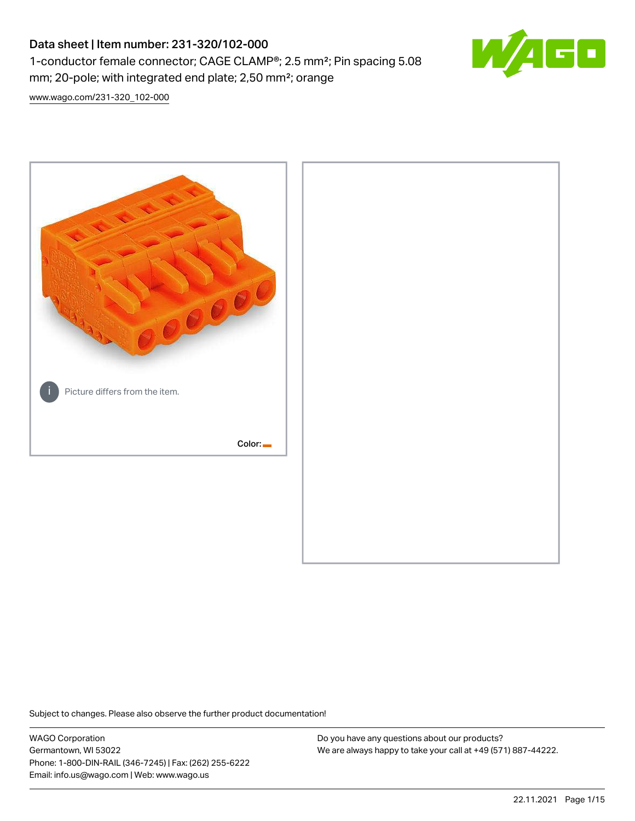# Data sheet | Item number: 231-320/102-000 1-conductor female connector; CAGE CLAMP®; 2.5 mm²; Pin spacing 5.08 mm; 20-pole; with integrated end plate; 2,50 mm²; orange



[www.wago.com/231-320\\_102-000](http://www.wago.com/231-320_102-000)



Subject to changes. Please also observe the further product documentation!

WAGO Corporation Germantown, WI 53022 Phone: 1-800-DIN-RAIL (346-7245) | Fax: (262) 255-6222 Email: info.us@wago.com | Web: www.wago.us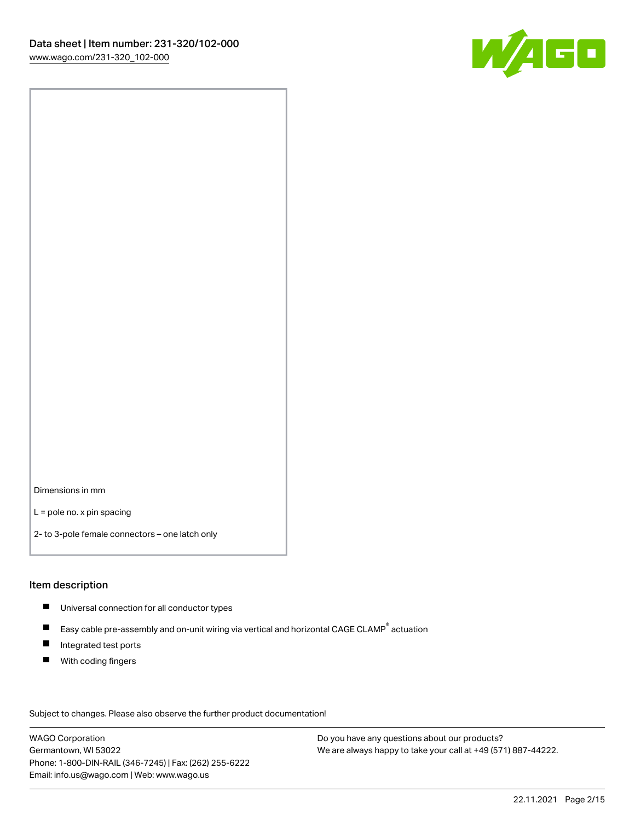

Dimensions in mm

L = pole no. x pin spacing

2- to 3-pole female connectors – one latch only

#### Item description

- **Universal connection for all conductor types**
- Easy cable pre-assembly and on-unit wiring via vertical and horizontal CAGE CLAMP<sup>®</sup> actuation  $\blacksquare$
- $\blacksquare$ Integrated test ports
- $\blacksquare$ With coding fingers

Subject to changes. Please also observe the further product documentation! Data

WAGO Corporation Germantown, WI 53022 Phone: 1-800-DIN-RAIL (346-7245) | Fax: (262) 255-6222 Email: info.us@wago.com | Web: www.wago.us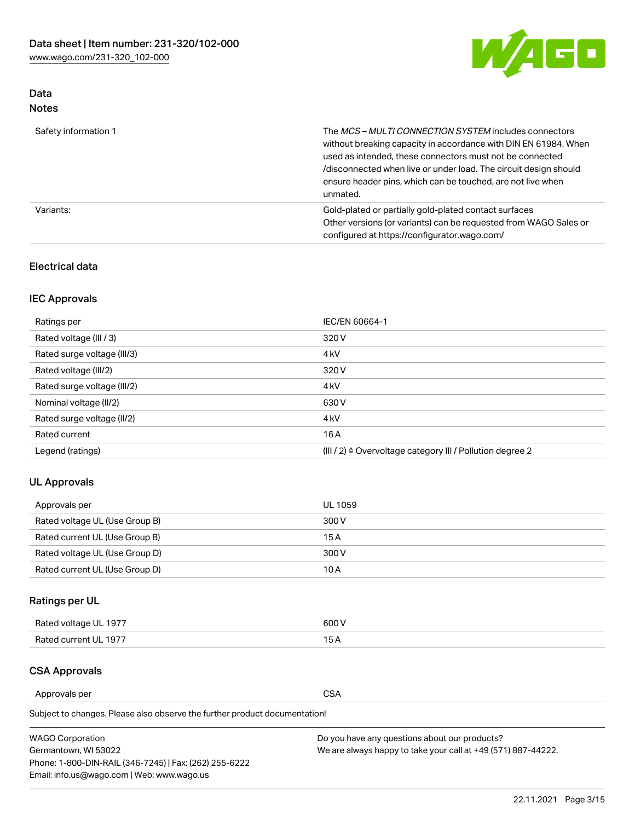

## Data Notes

| Safety information 1 | The MCS-MULTI CONNECTION SYSTEM includes connectors<br>without breaking capacity in accordance with DIN EN 61984. When<br>used as intended, these connectors must not be connected<br>/disconnected when live or under load. The circuit design should<br>ensure header pins, which can be touched, are not live when<br>unmated. |
|----------------------|-----------------------------------------------------------------------------------------------------------------------------------------------------------------------------------------------------------------------------------------------------------------------------------------------------------------------------------|
| Variants:            | Gold-plated or partially gold-plated contact surfaces<br>Other versions (or variants) can be requested from WAGO Sales or<br>configured at https://configurator.wago.com/                                                                                                                                                         |

### Electrical data

## IEC Approvals

| Ratings per                 | IEC/EN 60664-1                                                        |
|-----------------------------|-----------------------------------------------------------------------|
| Rated voltage (III / 3)     | 320 V                                                                 |
| Rated surge voltage (III/3) | 4 <sub>k</sub> V                                                      |
| Rated voltage (III/2)       | 320 V                                                                 |
| Rated surge voltage (III/2) | 4 <sub>k</sub> V                                                      |
| Nominal voltage (II/2)      | 630 V                                                                 |
| Rated surge voltage (II/2)  | 4 <sub>k</sub> V                                                      |
| Rated current               | 16A                                                                   |
| Legend (ratings)            | $(III / 2)$ $\triangle$ Overvoltage category III / Pollution degree 2 |

## UL Approvals

| Approvals per                  | UL 1059 |
|--------------------------------|---------|
| Rated voltage UL (Use Group B) | 300 V   |
| Rated current UL (Use Group B) | 15 A    |
| Rated voltage UL (Use Group D) | 300 V   |
| Rated current UL (Use Group D) | 10 A    |

## Ratings per UL

| Rated voltage UL 1977 | 300 V |
|-----------------------|-------|
| Rated current UL 1977 |       |

### CSA Approvals

Approvals per CSA

Subject to changes. Please also observe the further product documentation!

| <b>WAGO Corporation</b>                                | Do you have any questions about our products?                 |
|--------------------------------------------------------|---------------------------------------------------------------|
| Germantown, WI 53022                                   | We are always happy to take your call at +49 (571) 887-44222. |
| Phone: 1-800-DIN-RAIL (346-7245)   Fax: (262) 255-6222 |                                                               |
| Email: info.us@wago.com   Web: www.wago.us             |                                                               |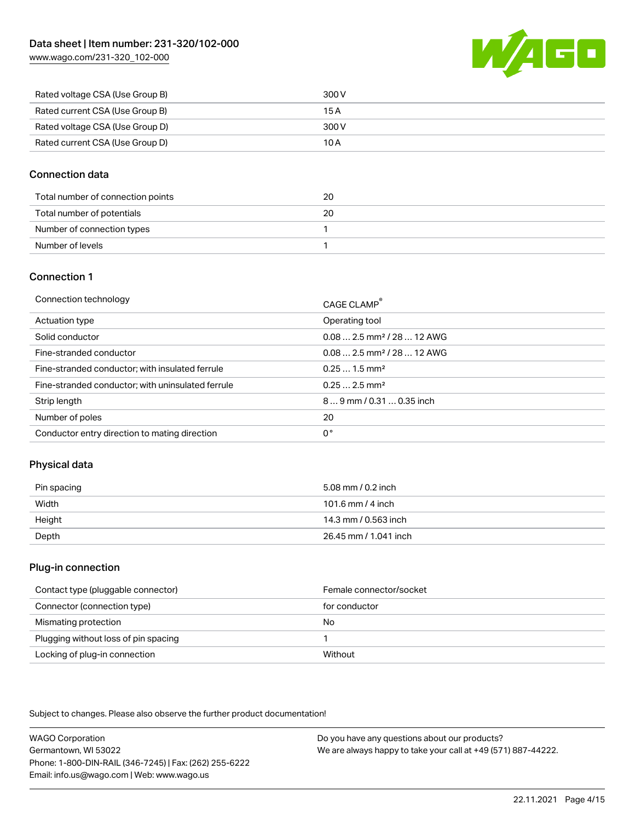[www.wago.com/231-320\\_102-000](http://www.wago.com/231-320_102-000)



| Rated voltage CSA (Use Group B) | 300 V |
|---------------------------------|-------|
| Rated current CSA (Use Group B) | 15 A  |
| Rated voltage CSA (Use Group D) | 300 V |
| Rated current CSA (Use Group D) | 10 A  |

### Connection data

| Total number of connection points | 20 |
|-----------------------------------|----|
| Total number of potentials        | 20 |
| Number of connection types        |    |
| Number of levels                  |    |

### Connection 1

| Connection technology                             | CAGE CLAMP®                             |
|---------------------------------------------------|-----------------------------------------|
| Actuation type                                    | Operating tool                          |
| Solid conductor                                   | $0.082.5$ mm <sup>2</sup> / 28  12 AWG  |
| Fine-stranded conductor                           | $0.08$ 2.5 mm <sup>2</sup> / 28  12 AWG |
| Fine-stranded conductor; with insulated ferrule   | $0.251.5$ mm <sup>2</sup>               |
| Fine-stranded conductor; with uninsulated ferrule | $0.252.5$ mm <sup>2</sup>               |
| Strip length                                      | $89$ mm $/ 0.310.35$ inch               |
| Number of poles                                   | 20                                      |
| Conductor entry direction to mating direction     | 0°                                      |

## Physical data

| Pin spacing | 5.08 mm / 0.2 inch    |
|-------------|-----------------------|
| Width       | 101.6 mm / 4 inch     |
| Height      | 14.3 mm / 0.563 inch  |
| Depth       | 26.45 mm / 1.041 inch |

#### Plug-in connection

| Contact type (pluggable connector)   | Female connector/socket |
|--------------------------------------|-------------------------|
| Connector (connection type)          | for conductor           |
| Mismating protection                 | No                      |
| Plugging without loss of pin spacing |                         |
| Locking of plug-in connection        | Without                 |

Subject to changes. Please also observe the further product documentation!

WAGO Corporation Germantown, WI 53022 Phone: 1-800-DIN-RAIL (346-7245) | Fax: (262) 255-6222 Email: info.us@wago.com | Web: www.wago.us Do you have any questions about our products? We are always happy to take your call at +49 (571) 887-44222.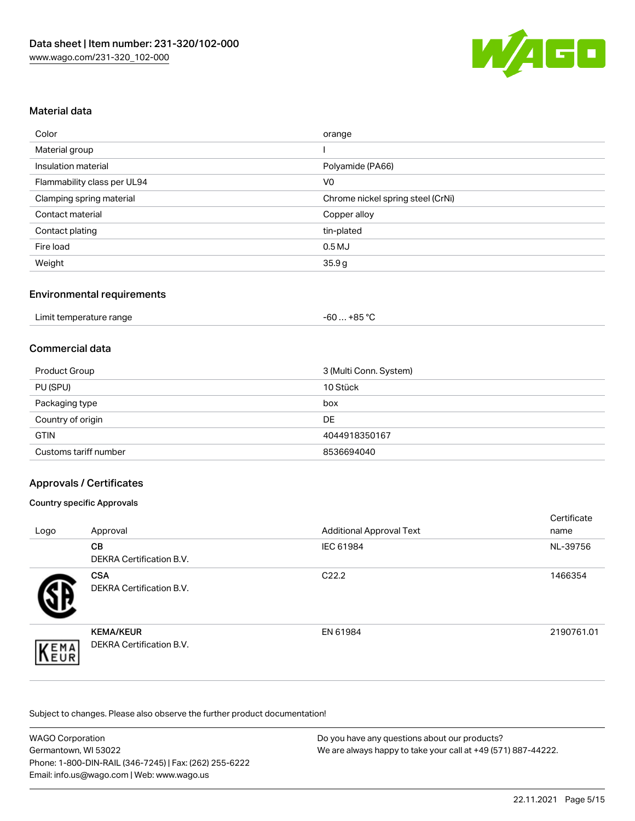

### Material data

| Color                       | orange                            |
|-----------------------------|-----------------------------------|
| Material group              |                                   |
| Insulation material         | Polyamide (PA66)                  |
| Flammability class per UL94 | V <sub>0</sub>                    |
| Clamping spring material    | Chrome nickel spring steel (CrNi) |
| Contact material            | Copper alloy                      |
| Contact plating             | tin-plated                        |
| Fire load                   | $0.5$ MJ                          |
| Weight                      | 35.9g                             |

### Environmental requirements

#### Commercial data

| 3 (Multi Conn. System)<br>Product Group |               |  |  |
|-----------------------------------------|---------------|--|--|
| PU (SPU)                                | 10 Stück      |  |  |
| Packaging type                          | box           |  |  |
| Country of origin                       | DE            |  |  |
| <b>GTIN</b>                             | 4044918350167 |  |  |
| Customs tariff number                   | 8536694040    |  |  |

### Approvals / Certificates

#### Country specific Approvals

| Logo | Approval                                            | <b>Additional Approval Text</b> | Certificate<br>name |
|------|-----------------------------------------------------|---------------------------------|---------------------|
|      | <b>CB</b><br><b>DEKRA Certification B.V.</b>        | IEC 61984                       | NL-39756            |
|      | <b>CSA</b><br>DEKRA Certification B.V.              | C <sub>22.2</sub>               | 1466354             |
| EMA  | <b>KEMA/KEUR</b><br><b>DEKRA Certification B.V.</b> | EN 61984                        | 2190761.01          |

Subject to changes. Please also observe the further product documentation!

| <b>WAGO Corporation</b>                                | Do you have any questions about our products?                 |
|--------------------------------------------------------|---------------------------------------------------------------|
| Germantown, WI 53022                                   | We are always happy to take your call at +49 (571) 887-44222. |
| Phone: 1-800-DIN-RAIL (346-7245)   Fax: (262) 255-6222 |                                                               |
| Email: info.us@wago.com   Web: www.wago.us             |                                                               |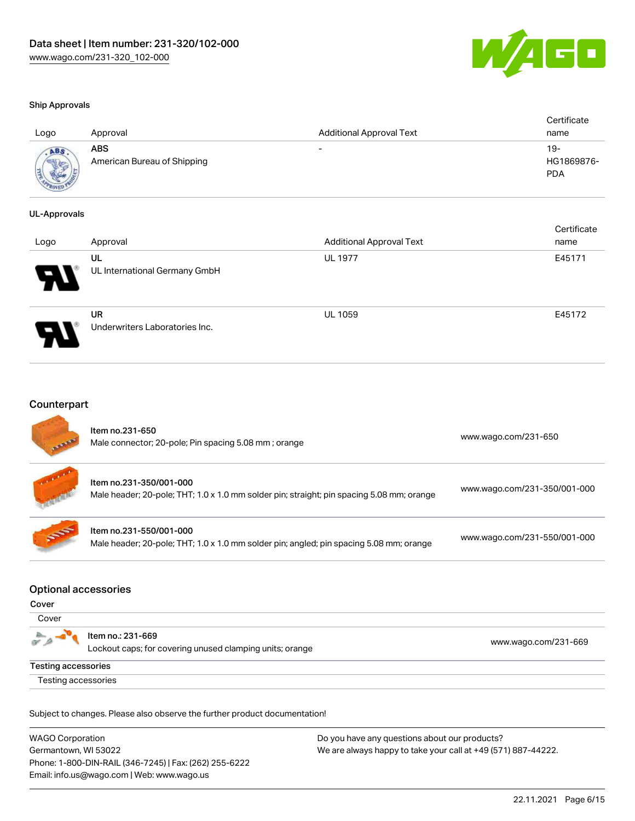

certificate in the contraction of the contraction of the contraction of the contraction of the contraction of <br>Contraction of the contraction of the contraction of the contraction of the contraction of the contraction of <br>

#### Ship Approvals

| Logo        | Approval                           | <b>Additional Approval Text</b> | Certificate<br>name             |
|-------------|------------------------------------|---------------------------------|---------------------------------|
| <b>ADAR</b> | ABS<br>American Bureau of Shipping | -                               | 19-<br>HG1869876-<br><b>PDA</b> |

#### UL-Approvals

| Logo | Approval                             | <b>Additional Approval Text</b> | Certificate<br>name |
|------|--------------------------------------|---------------------------------|---------------------|
| Р.   | UL<br>UL International Germany GmbH  | <b>UL 1977</b>                  | E45171              |
|      | UR<br>Underwriters Laboratories Inc. | <b>UL 1059</b>                  | E45172              |

#### Counterpart

| <b>REAL PROPE</b> | Item no.231-650<br>Male connector; 20-pole; Pin spacing 5.08 mm; orange                                              | www.wago.com/231-650         |
|-------------------|----------------------------------------------------------------------------------------------------------------------|------------------------------|
| <b>Control</b>    | Item no.231-350/001-000<br>Male header; 20-pole; THT; 1.0 x 1.0 mm solder pin; straight; pin spacing 5.08 mm; orange | www.wago.com/231-350/001-000 |
| <b>SERVICE</b>    | Item no.231-550/001-000<br>Male header; 20-pole; THT; 1.0 x 1.0 mm solder pin; angled; pin spacing 5.08 mm; orange   | www.wago.com/231-550/001-000 |

#### Optional accessories

Testing accessories

#### Cover

| Cover               |                                                                               |                      |
|---------------------|-------------------------------------------------------------------------------|----------------------|
| $\sigma$ $\rho$     | ltem no.: 231-669<br>Lockout caps; for covering unused clamping units; orange | www.wago.com/231-669 |
| Testing accessories |                                                                               |                      |

Subject to changes. Please also observe the further product documentation!

WAGO Corporation Germantown, WI 53022 Phone: 1-800-DIN-RAIL (346-7245) | Fax: (262) 255-6222 Email: info.us@wago.com | Web: www.wago.us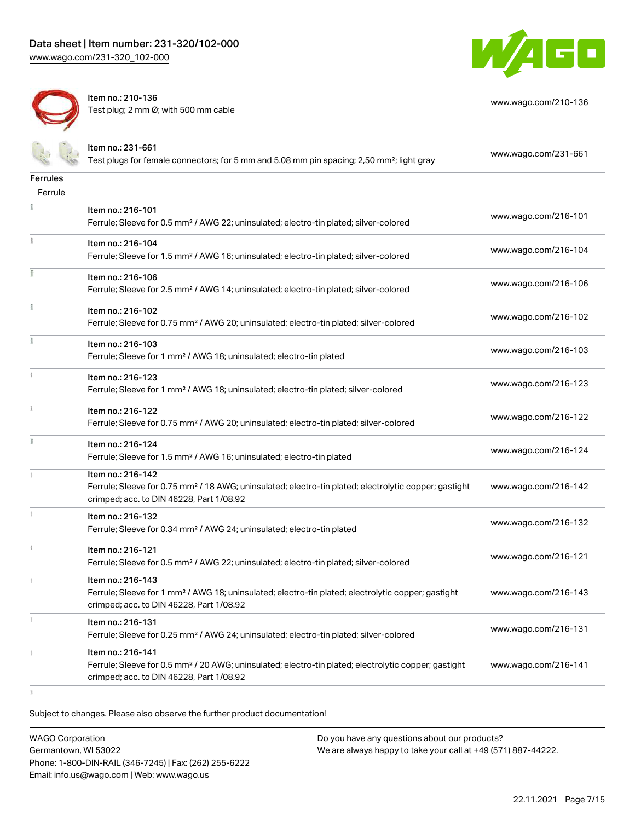

[www.wago.com/210-136](http://www.wago.com/210-136)



Item no.: 210-136 Test plug; 2 mm Ø; with 500 mm cable

|                 | Item no.: 231-661<br>Test plugs for female connectors; for 5 mm and 5.08 mm pin spacing; 2,50 mm <sup>2</sup> ; light gray                                                         | www.wago.com/231-661 |
|-----------------|------------------------------------------------------------------------------------------------------------------------------------------------------------------------------------|----------------------|
| <b>Ferrules</b> |                                                                                                                                                                                    |                      |
| Ferrule         |                                                                                                                                                                                    |                      |
|                 | Item no.: 216-101<br>Ferrule; Sleeve for 0.5 mm <sup>2</sup> / AWG 22; uninsulated; electro-tin plated; silver-colored                                                             | www.wago.com/216-101 |
|                 | Item no.: 216-104<br>Ferrule; Sleeve for 1.5 mm <sup>2</sup> / AWG 16; uninsulated; electro-tin plated; silver-colored                                                             | www.wago.com/216-104 |
|                 | Item no.: 216-106<br>Ferrule; Sleeve for 2.5 mm <sup>2</sup> / AWG 14; uninsulated; electro-tin plated; silver-colored                                                             | www.wago.com/216-106 |
| ł               | Item no.: 216-102<br>Ferrule; Sleeve for 0.75 mm <sup>2</sup> / AWG 20; uninsulated; electro-tin plated; silver-colored                                                            | www.wago.com/216-102 |
|                 | Item no.: 216-103<br>Ferrule; Sleeve for 1 mm <sup>2</sup> / AWG 18; uninsulated; electro-tin plated                                                                               | www.wago.com/216-103 |
| ī.              | Item no.: 216-123<br>Ferrule; Sleeve for 1 mm <sup>2</sup> / AWG 18; uninsulated; electro-tin plated; silver-colored                                                               | www.wago.com/216-123 |
| î.              | Item no.: 216-122<br>Ferrule; Sleeve for 0.75 mm <sup>2</sup> / AWG 20; uninsulated; electro-tin plated; silver-colored                                                            | www.wago.com/216-122 |
| I.              | Item no.: 216-124<br>Ferrule; Sleeve for 1.5 mm <sup>2</sup> / AWG 16; uninsulated; electro-tin plated                                                                             | www.wago.com/216-124 |
|                 | Item no.: 216-142<br>Ferrule; Sleeve for 0.75 mm <sup>2</sup> / 18 AWG; uninsulated; electro-tin plated; electrolytic copper; gastight<br>crimped; acc. to DIN 46228, Part 1/08.92 | www.wago.com/216-142 |
|                 | Item no.: 216-132<br>Ferrule; Sleeve for 0.34 mm <sup>2</sup> / AWG 24; uninsulated; electro-tin plated                                                                            | www.wago.com/216-132 |
|                 | Item no.: 216-121<br>Ferrule; Sleeve for 0.5 mm <sup>2</sup> / AWG 22; uninsulated; electro-tin plated; silver-colored                                                             | www.wago.com/216-121 |
|                 | Item no.: 216-143<br>Ferrule; Sleeve for 1 mm <sup>2</sup> / AWG 18; uninsulated; electro-tin plated; electrolytic copper; gastight<br>crimped; acc. to DIN 46228, Part 1/08.92    | www.wago.com/216-143 |
|                 | Item no.: 216-131<br>Ferrule; Sleeve for 0.25 mm <sup>2</sup> / AWG 24; uninsulated; electro-tin plated; silver-colored                                                            | www.wago.com/216-131 |
|                 | Item no.: 216-141<br>Ferrule; Sleeve for 0.5 mm <sup>2</sup> / 20 AWG; uninsulated; electro-tin plated; electrolytic copper; gastight<br>crimped; acc. to DIN 46228, Part 1/08.92  | www.wago.com/216-141 |

 $\bar{1}$ 

Subject to changes. Please also observe the further product documentation!

WAGO Corporation Germantown, WI 53022 Phone: 1-800-DIN-RAIL (346-7245) | Fax: (262) 255-6222 Email: info.us@wago.com | Web: www.wago.us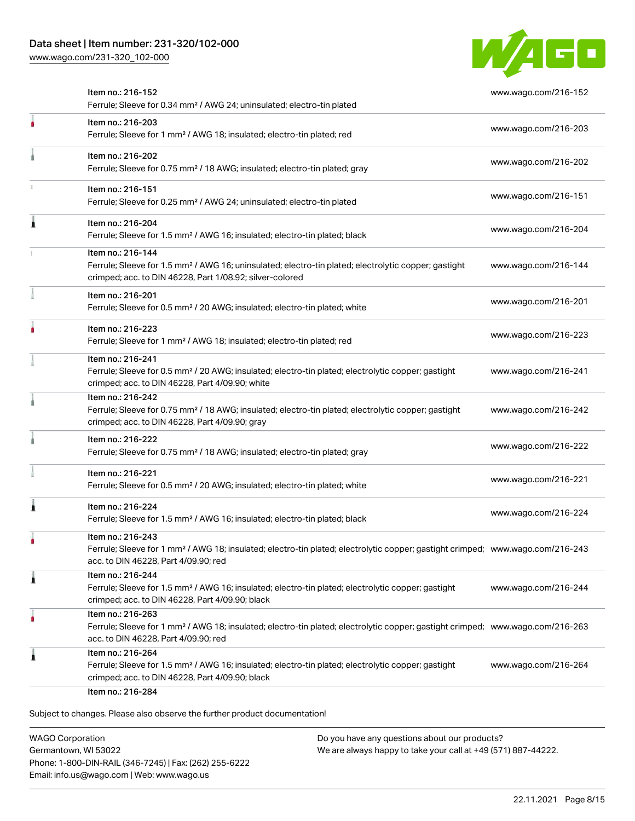[www.wago.com/231-320\\_102-000](http://www.wago.com/231-320_102-000)



|   | Item no.: 216-152<br>Ferrule; Sleeve for 0.34 mm <sup>2</sup> / AWG 24; uninsulated; electro-tin plated                                                                                                 | www.wago.com/216-152 |
|---|---------------------------------------------------------------------------------------------------------------------------------------------------------------------------------------------------------|----------------------|
|   | Item no.: 216-203<br>Ferrule; Sleeve for 1 mm <sup>2</sup> / AWG 18; insulated; electro-tin plated; red                                                                                                 | www.wago.com/216-203 |
|   | Item no.: 216-202<br>Ferrule; Sleeve for 0.75 mm <sup>2</sup> / 18 AWG; insulated; electro-tin plated; gray                                                                                             | www.wago.com/216-202 |
|   | Item no.: 216-151<br>Ferrule; Sleeve for 0.25 mm <sup>2</sup> / AWG 24; uninsulated; electro-tin plated                                                                                                 | www.wago.com/216-151 |
|   | Item no.: 216-204<br>Ferrule; Sleeve for 1.5 mm <sup>2</sup> / AWG 16; insulated; electro-tin plated; black                                                                                             | www.wago.com/216-204 |
|   | Item no.: 216-144<br>Ferrule; Sleeve for 1.5 mm <sup>2</sup> / AWG 16; uninsulated; electro-tin plated; electrolytic copper; gastight<br>crimped; acc. to DIN 46228, Part 1/08.92; silver-colored       | www.wago.com/216-144 |
|   | Item no.: 216-201<br>Ferrule; Sleeve for 0.5 mm <sup>2</sup> / 20 AWG; insulated; electro-tin plated; white                                                                                             | www.wago.com/216-201 |
|   | Item no.: 216-223<br>Ferrule; Sleeve for 1 mm <sup>2</sup> / AWG 18; insulated; electro-tin plated; red                                                                                                 | www.wago.com/216-223 |
|   | Item no.: 216-241<br>Ferrule; Sleeve for 0.5 mm <sup>2</sup> / 20 AWG; insulated; electro-tin plated; electrolytic copper; gastight<br>crimped; acc. to DIN 46228, Part 4/09.90; white                  | www.wago.com/216-241 |
|   | Item no.: 216-242<br>Ferrule; Sleeve for 0.75 mm <sup>2</sup> / 18 AWG; insulated; electro-tin plated; electrolytic copper; gastight<br>crimped; acc. to DIN 46228, Part 4/09.90; gray                  | www.wago.com/216-242 |
|   | Item no.: 216-222<br>Ferrule; Sleeve for 0.75 mm <sup>2</sup> / 18 AWG; insulated; electro-tin plated; gray                                                                                             | www.wago.com/216-222 |
|   | Item no.: 216-221<br>Ferrule; Sleeve for 0.5 mm <sup>2</sup> / 20 AWG; insulated; electro-tin plated; white                                                                                             | www.wago.com/216-221 |
|   | Item no.: 216-224<br>Ferrule; Sleeve for 1.5 mm <sup>2</sup> / AWG 16; insulated; electro-tin plated; black                                                                                             | www.wago.com/216-224 |
|   | Item no.: 216-243<br>Ferrule; Sleeve for 1 mm <sup>2</sup> / AWG 18; insulated; electro-tin plated; electrolytic copper; gastight crimped; www.wago.com/216-243<br>acc. to DIN 46228, Part 4/09.90; red |                      |
| л | Item no.: 216-244<br>Ferrule; Sleeve for 1.5 mm <sup>2</sup> / AWG 16; insulated; electro-tin plated; electrolytic copper; gastight<br>crimped; acc. to DIN 46228, Part 4/09.90; black                  | www.wago.com/216-244 |
| ٠ | Item no.: 216-263<br>Ferrule; Sleeve for 1 mm <sup>2</sup> / AWG 18; insulated; electro-tin plated; electrolytic copper; gastight crimped; www.wago.com/216-263<br>acc. to DIN 46228, Part 4/09.90; red |                      |
|   | Item no.: 216-264<br>Ferrule; Sleeve for 1.5 mm <sup>2</sup> / AWG 16; insulated; electro-tin plated; electrolytic copper; gastight<br>crimped; acc. to DIN 46228, Part 4/09.90; black                  | www.wago.com/216-264 |

WAGO Corporation Germantown, WI 53022 Phone: 1-800-DIN-RAIL (346-7245) | Fax: (262) 255-6222 Email: info.us@wago.com | Web: www.wago.us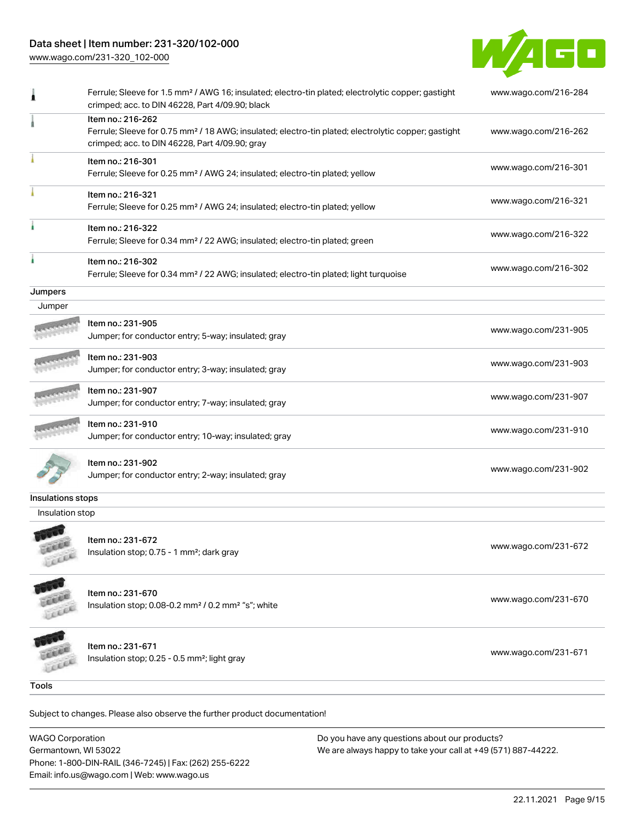## Data sheet | Item number: 231-320/102-000

[www.wago.com/231-320\\_102-000](http://www.wago.com/231-320_102-000)



|                   | Ferrule; Sleeve for 1.5 mm <sup>2</sup> / AWG 16; insulated; electro-tin plated; electrolytic copper; gastight<br>crimped; acc. to DIN 46228, Part 4/09.90; black                      | www.wago.com/216-284 |
|-------------------|----------------------------------------------------------------------------------------------------------------------------------------------------------------------------------------|----------------------|
|                   | Item no.: 216-262<br>Ferrule; Sleeve for 0.75 mm <sup>2</sup> / 18 AWG; insulated; electro-tin plated; electrolytic copper; gastight<br>crimped; acc. to DIN 46228, Part 4/09.90; gray | www.wago.com/216-262 |
|                   | Item no.: 216-301<br>Ferrule; Sleeve for 0.25 mm <sup>2</sup> / AWG 24; insulated; electro-tin plated; yellow                                                                          | www.wago.com/216-301 |
|                   | Item no.: 216-321<br>Ferrule; Sleeve for 0.25 mm <sup>2</sup> / AWG 24; insulated; electro-tin plated; yellow                                                                          | www.wago.com/216-321 |
|                   | Item no.: 216-322<br>Ferrule; Sleeve for 0.34 mm <sup>2</sup> / 22 AWG; insulated; electro-tin plated; green                                                                           | www.wago.com/216-322 |
|                   | Item no.: 216-302<br>Ferrule; Sleeve for 0.34 mm <sup>2</sup> / 22 AWG; insulated; electro-tin plated; light turquoise                                                                 | www.wago.com/216-302 |
| Jumpers           |                                                                                                                                                                                        |                      |
| Jumper            |                                                                                                                                                                                        |                      |
|                   | Item no.: 231-905<br>Jumper; for conductor entry; 5-way; insulated; gray                                                                                                               | www.wago.com/231-905 |
|                   | Item no.: 231-903<br>Jumper; for conductor entry; 3-way; insulated; gray                                                                                                               | www.wago.com/231-903 |
|                   | Item no.: 231-907<br>Jumper; for conductor entry; 7-way; insulated; gray                                                                                                               | www.wago.com/231-907 |
|                   | Item no.: 231-910<br>Jumper; for conductor entry; 10-way; insulated; gray                                                                                                              | www.wago.com/231-910 |
|                   | ltem no.: 231-902<br>Jumper; for conductor entry; 2-way; insulated; gray                                                                                                               | www.wago.com/231-902 |
| Insulations stops |                                                                                                                                                                                        |                      |
| Insulation stop   |                                                                                                                                                                                        |                      |
| FEED              | Item no.: 231-672<br>Insulation stop; 0.75 - 1 mm <sup>2</sup> ; dark gray                                                                                                             | www.wago.com/231-672 |
|                   | Item no.: 231-670                                                                                                                                                                      | www.wago.com/231-670 |
|                   | Insulation stop; 0.08-0.2 mm <sup>2</sup> / 0.2 mm <sup>2</sup> "s"; white                                                                                                             |                      |
|                   | Item no.: 231-671                                                                                                                                                                      | www.wago.com/231-671 |
|                   | Insulation stop; 0.25 - 0.5 mm <sup>2</sup> ; light gray                                                                                                                               |                      |
|                   |                                                                                                                                                                                        |                      |
| <b>Tools</b>      | Subject to changes. Please also observe the further product documentation!                                                                                                             |                      |

WAGO Corporation Germantown, WI 53022 Phone: 1-800-DIN-RAIL (346-7245) | Fax: (262) 255-6222 Email: info.us@wago.com | Web: www.wago.us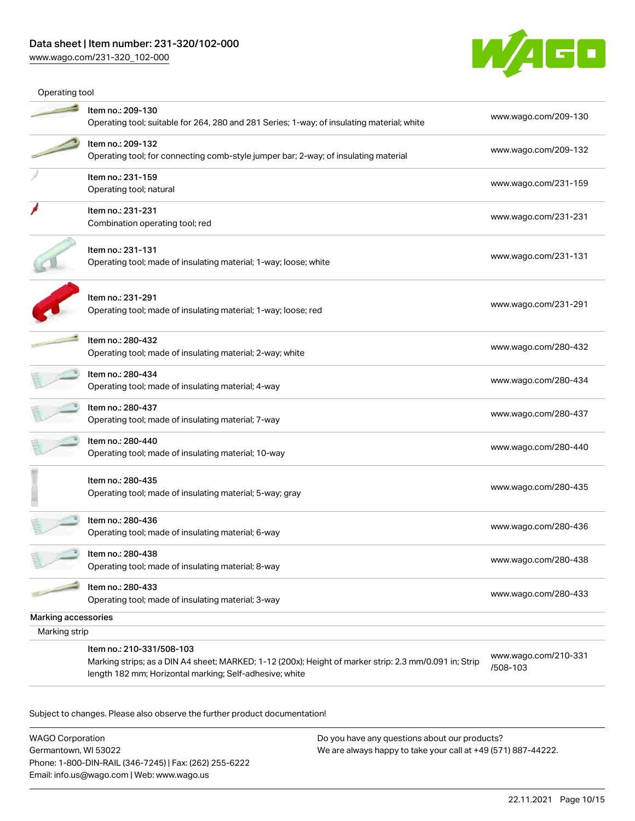## Data sheet | Item number: 231-320/102-000

[www.wago.com/231-320\\_102-000](http://www.wago.com/231-320_102-000)



| Operating tool      |                                                                                                                                                                                                |                                  |
|---------------------|------------------------------------------------------------------------------------------------------------------------------------------------------------------------------------------------|----------------------------------|
|                     | Item no.: 209-130<br>Operating tool; suitable for 264, 280 and 281 Series; 1-way; of insulating material; white                                                                                | www.wago.com/209-130             |
|                     | Item no.: 209-132<br>Operating tool; for connecting comb-style jumper bar; 2-way; of insulating material                                                                                       | www.wago.com/209-132             |
|                     | Item no.: 231-159<br>Operating tool; natural                                                                                                                                                   | www.wago.com/231-159             |
|                     | Item no.: 231-231<br>Combination operating tool; red                                                                                                                                           | www.wago.com/231-231             |
|                     | Item no.: 231-131<br>Operating tool; made of insulating material; 1-way; loose; white                                                                                                          | www.wago.com/231-131             |
|                     | Item no.: 231-291<br>Operating tool; made of insulating material; 1-way; loose; red                                                                                                            | www.wago.com/231-291             |
|                     | Item no.: 280-432<br>Operating tool; made of insulating material; 2-way; white                                                                                                                 | www.wago.com/280-432             |
|                     | Item no.: 280-434<br>Operating tool; made of insulating material; 4-way                                                                                                                        | www.wago.com/280-434             |
|                     | Item no.: 280-437<br>Operating tool; made of insulating material; 7-way                                                                                                                        | www.wago.com/280-437             |
|                     | Item no.: 280-440<br>Operating tool; made of insulating material; 10-way                                                                                                                       | www.wago.com/280-440             |
|                     | Item no.: 280-435<br>Operating tool; made of insulating material; 5-way; gray                                                                                                                  | www.wago.com/280-435             |
|                     | Item no.: 280-436<br>Operating tool; made of insulating material; 6-way                                                                                                                        | www.wago.com/280-436             |
|                     | Item no.: 280-438<br>Operating tool; made of insulating material; 8-way                                                                                                                        | www.wago.com/280-438             |
|                     | Item no.: 280-433<br>Operating tool; made of insulating material; 3-way                                                                                                                        | www.wago.com/280-433             |
| Marking accessories |                                                                                                                                                                                                |                                  |
| Marking strip       |                                                                                                                                                                                                |                                  |
|                     | Item no.: 210-331/508-103<br>Marking strips; as a DIN A4 sheet; MARKED; 1-12 (200x); Height of marker strip: 2.3 mm/0.091 in; Strip<br>length 182 mm; Horizontal marking; Self-adhesive; white | www.wago.com/210-331<br>/508-103 |

Subject to changes. Please also observe the further product documentation!

WAGO Corporation Germantown, WI 53022 Phone: 1-800-DIN-RAIL (346-7245) | Fax: (262) 255-6222 Email: info.us@wago.com | Web: www.wago.us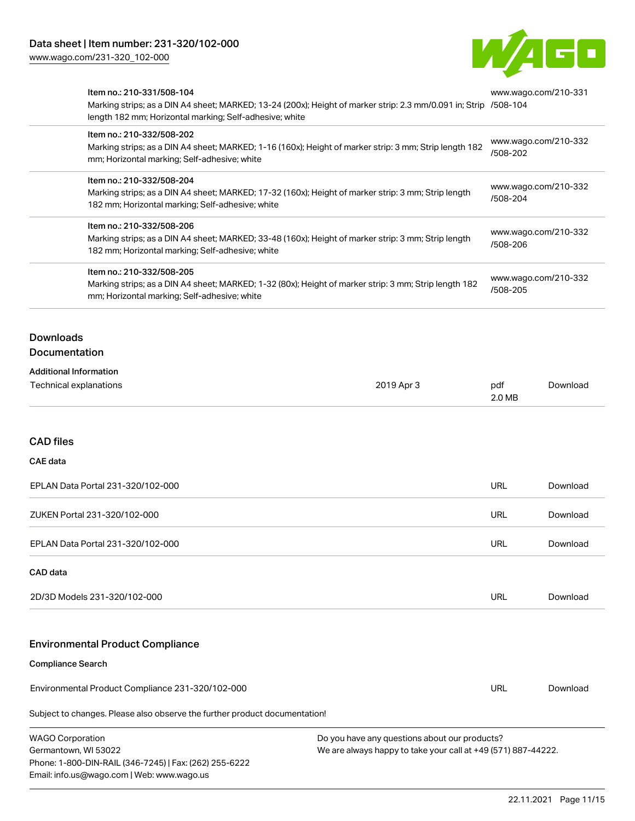[www.wago.com/231-320\\_102-000](http://www.wago.com/231-320_102-000)



| Item no.: 210-331/508-104                                                     | Marking strips; as a DIN A4 sheet; MARKED; 13-24 (200x); Height of marker strip: 2.3 mm/0.091 in; Strip /508-104<br>length 182 mm; Horizontal marking; Self-adhesive; white |            |               | www.wago.com/210-331 |
|-------------------------------------------------------------------------------|-----------------------------------------------------------------------------------------------------------------------------------------------------------------------------|------------|---------------|----------------------|
| Item no.: 210-332/508-202<br>mm; Horizontal marking; Self-adhesive; white     | Marking strips; as a DIN A4 sheet; MARKED; 1-16 (160x); Height of marker strip: 3 mm; Strip length 182                                                                      |            | /508-202      | www.wago.com/210-332 |
| Item no.: 210-332/508-204<br>182 mm; Horizontal marking; Self-adhesive; white | Marking strips; as a DIN A4 sheet; MARKED; 17-32 (160x); Height of marker strip: 3 mm; Strip length                                                                         |            | /508-204      | www.wago.com/210-332 |
| Item no.: 210-332/508-206<br>182 mm; Horizontal marking; Self-adhesive; white | Marking strips; as a DIN A4 sheet; MARKED; 33-48 (160x); Height of marker strip: 3 mm; Strip length                                                                         |            | /508-206      | www.wago.com/210-332 |
| Item no.: 210-332/508-205<br>mm; Horizontal marking; Self-adhesive; white     | Marking strips; as a DIN A4 sheet; MARKED; 1-32 (80x); Height of marker strip: 3 mm; Strip length 182                                                                       |            | /508-205      | www.wago.com/210-332 |
| <b>Downloads</b><br><b>Documentation</b>                                      |                                                                                                                                                                             |            |               |                      |
| <b>Additional Information</b><br>Technical explanations                       |                                                                                                                                                                             | 2019 Apr 3 | pdf<br>2.0 MB | Download             |
| <b>CAD files</b>                                                              |                                                                                                                                                                             |            |               |                      |
| CAE data<br>EPLAN Data Portal 231-320/102-000                                 |                                                                                                                                                                             |            | URL           | Download             |
| ZUKEN Portal 231-320/102-000                                                  |                                                                                                                                                                             |            | <b>URL</b>    | Download             |
| EPLAN Data Portal 231-320/102-000                                             |                                                                                                                                                                             |            | URL           | Download             |
| CAD data                                                                      |                                                                                                                                                                             |            |               |                      |
| 2D/3D Models 231-320/102-000                                                  |                                                                                                                                                                             |            | <b>URL</b>    | Download             |
| <b>Environmental Product Compliance</b>                                       |                                                                                                                                                                             |            |               |                      |
| <b>Compliance Search</b><br>Environmental Product Compliance 231-320/102-000  |                                                                                                                                                                             |            | URL           | Download             |
| Subject to changes. Please also observe the further product documentation!    |                                                                                                                                                                             |            |               |                      |

| <b>WAGO Corporation</b>                                | Do vou |
|--------------------------------------------------------|--------|
| Germantown, WI 53022                                   | We are |
| Phone: 1-800-DIN-RAIL (346-7245)   Fax: (262) 255-6222 |        |
| Email: info.us@wago.com   Web: www.wago.us             |        |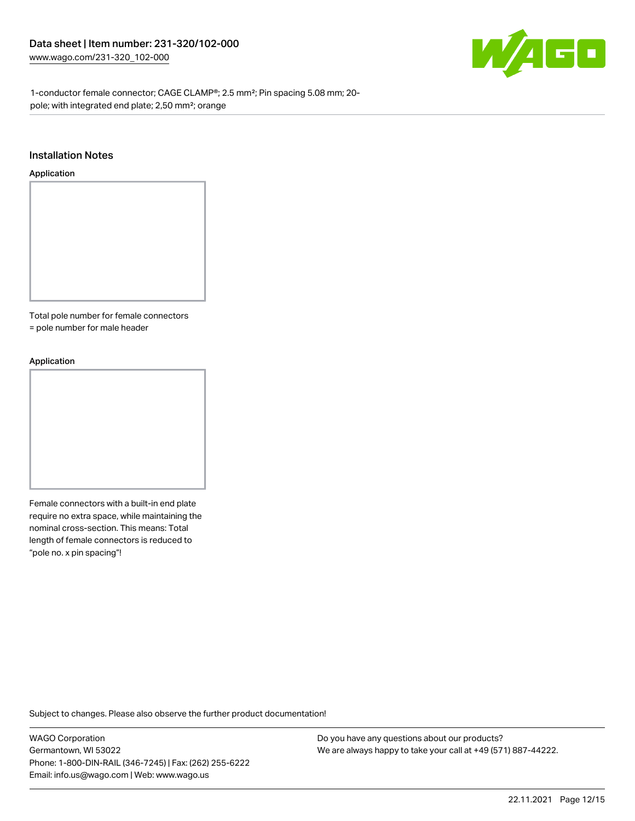

1-conductor female connector; CAGE CLAMP®; 2.5 mm²; Pin spacing 5.08 mm; 20 pole; with integrated end plate; 2,50 mm²; orange

#### Installation Notes

#### Application



Total pole number for female connectors

= pole number for male header

#### Application



Female connectors with a built-in end plate require no extra space, while maintaining the nominal cross-section. This means: Total length of female connectors is reduced to "pole no. x pin spacing"!

Subject to changes. Please also observe the further product documentation!

WAGO Corporation Germantown, WI 53022 Phone: 1-800-DIN-RAIL (346-7245) | Fax: (262) 255-6222 Email: info.us@wago.com | Web: www.wago.us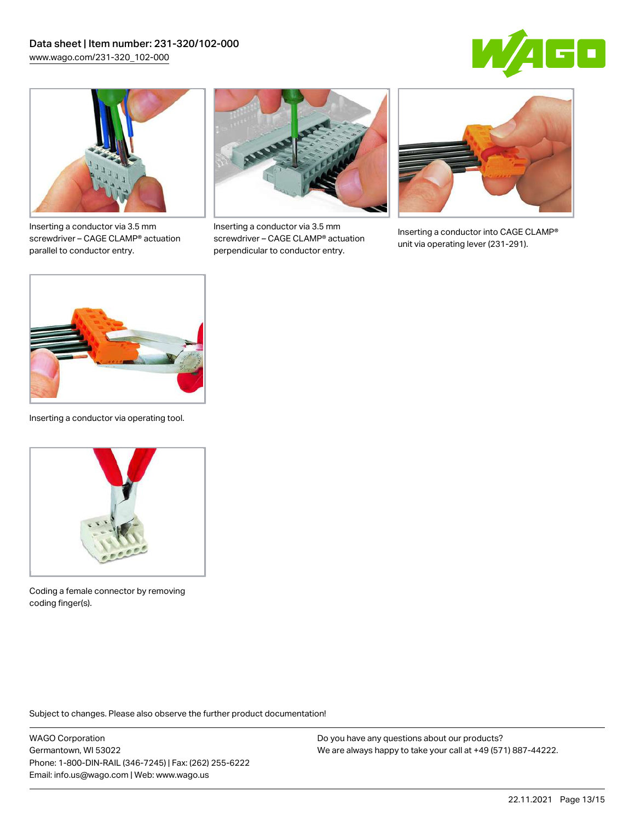



Inserting a conductor via 3.5 mm screwdriver – CAGE CLAMP® actuation parallel to conductor entry.



Inserting a conductor via 3.5 mm screwdriver – CAGE CLAMP® actuation perpendicular to conductor entry.



Inserting a conductor into CAGE CLAMP® unit via operating lever (231-291).



Inserting a conductor via operating tool.



Coding a female connector by removing coding finger(s).

Subject to changes. Please also observe the further product documentation!

WAGO Corporation Germantown, WI 53022 Phone: 1-800-DIN-RAIL (346-7245) | Fax: (262) 255-6222 Email: info.us@wago.com | Web: www.wago.us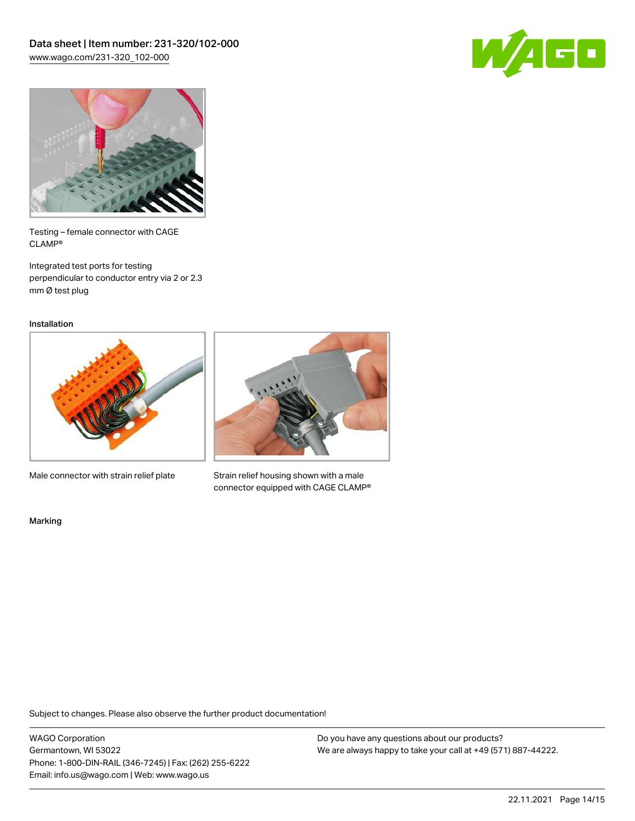



Testing – female connector with CAGE CLAMP®

Integrated test ports for testing perpendicular to conductor entry via 2 or 2.3 mm Ø test plug

Installation



Male connector with strain relief plate



Strain relief housing shown with a male connector equipped with CAGE CLAMP®

Marking

Subject to changes. Please also observe the further product documentation!

WAGO Corporation Germantown, WI 53022 Phone: 1-800-DIN-RAIL (346-7245) | Fax: (262) 255-6222 Email: info.us@wago.com | Web: www.wago.us